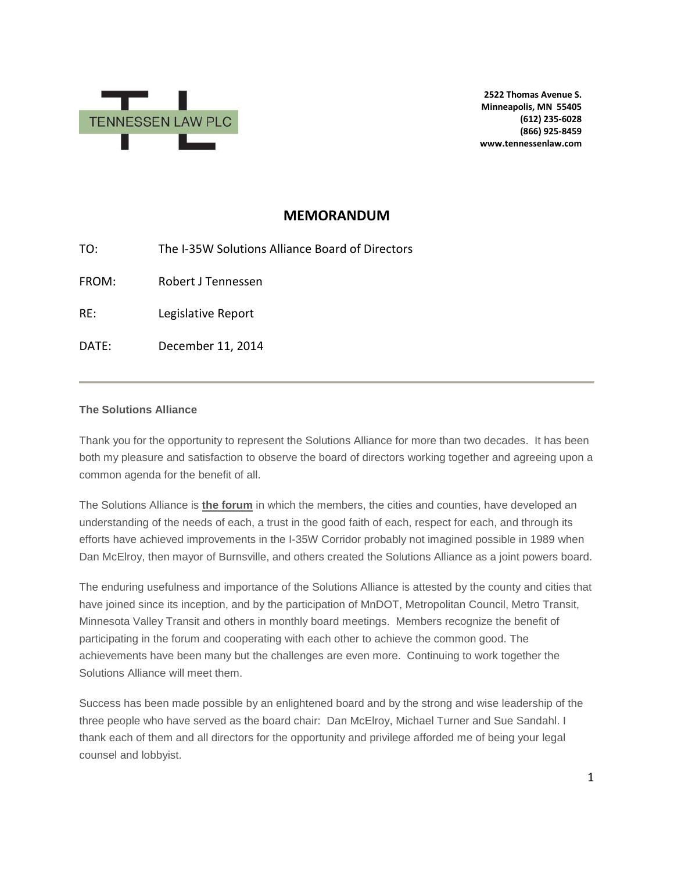

**2522 Thomas Avenue S. Minneapolis, MN 55405 (612) 235-6028 (866) 925-8459 www.tennessenlaw.com**

# **MEMORANDUM**

TO: The I-35W Solutions Alliance Board of Directors FROM: Robert J Tennessen RE: Legislative Report DATE: December 11, 2014

## **The Solutions Alliance**

Thank you for the opportunity to represent the Solutions Alliance for more than two decades. It has been both my pleasure and satisfaction to observe the board of directors working together and agreeing upon a common agenda for the benefit of all.

The Solutions Alliance is **the forum** in which the members, the cities and counties, have developed an understanding of the needs of each, a trust in the good faith of each, respect for each, and through its efforts have achieved improvements in the I-35W Corridor probably not imagined possible in 1989 when Dan McElroy, then mayor of Burnsville, and others created the Solutions Alliance as a joint powers board.

The enduring usefulness and importance of the Solutions Alliance is attested by the county and cities that have joined since its inception, and by the participation of MnDOT, Metropolitan Council, Metro Transit, Minnesota Valley Transit and others in monthly board meetings. Members recognize the benefit of participating in the forum and cooperating with each other to achieve the common good. The achievements have been many but the challenges are even more. Continuing to work together the Solutions Alliance will meet them.

Success has been made possible by an enlightened board and by the strong and wise leadership of the three people who have served as the board chair: Dan McElroy, Michael Turner and Sue Sandahl. I thank each of them and all directors for the opportunity and privilege afforded me of being your legal counsel and lobbyist.